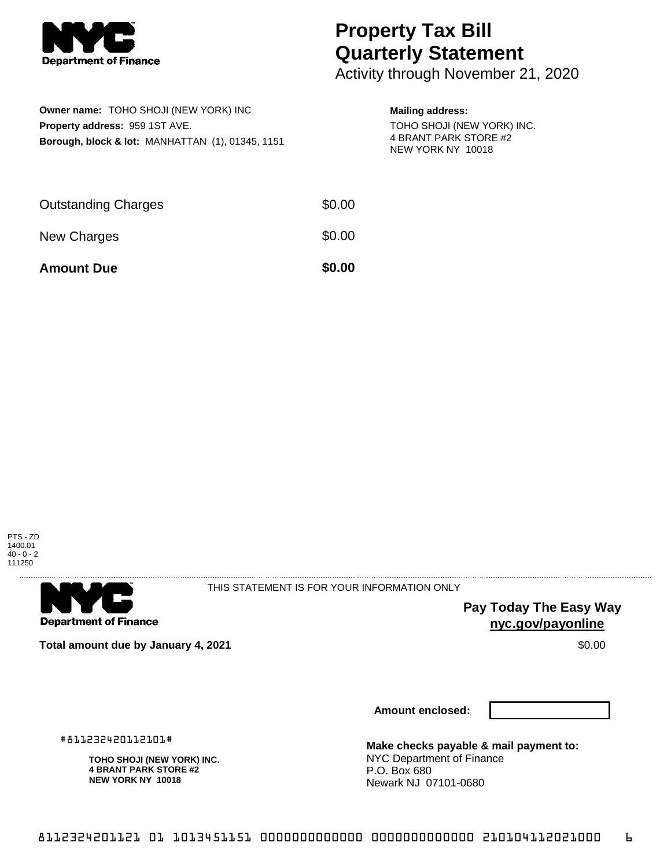

## **Property Tax Bill Quarterly Statement**

Activity through November 21, 2020

| Owner name: TOHO SHOJI (NEW YORK) INC                       |  |  |  |  |  |
|-------------------------------------------------------------|--|--|--|--|--|
| <b>Property address: 959 1ST AVE.</b>                       |  |  |  |  |  |
| <b>Borough, block &amp; lot: MANHATTAN (1), 01345, 1151</b> |  |  |  |  |  |

## **Mailing address:**

TOHO SHOJI (NEW YORK) INC. 4 BRANT PARK STORE #2 NEW YORK NY 10018

| <b>Amount Due</b>          | \$0.00 |
|----------------------------|--------|
| New Charges                | \$0.00 |
| <b>Outstanding Charges</b> | \$0.00 |



THIS STATEMENT IS FOR YOUR INFORMATION ONLY

**Pay Today The Easy Way nyc.gov/payonline**

**Total amount due by January 4, 2021 \$0.00**  $\bullet$  **\$0.00**  $\bullet$  **\$0.00**  $\bullet$  **\$0.00** 

**Amount enclosed:**

#811232420112101#

**TOHO SHOJI (NEW YORK) INC. 4 BRANT PARK STORE #2 NEW YORK NY 10018**

**Make checks payable & mail payment to:** NYC Department of Finance P.O. Box 680 Newark NJ 07101-0680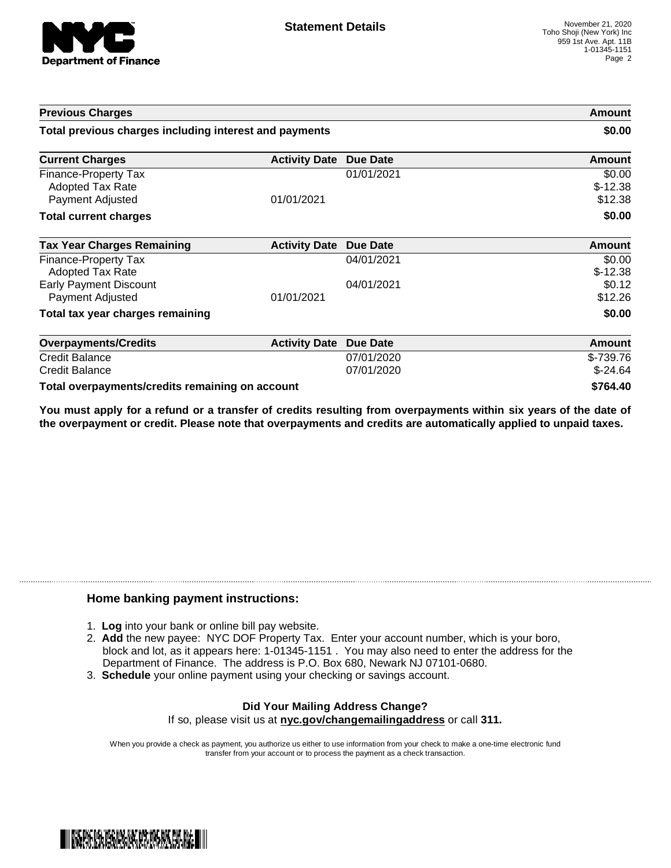

| <b>Previous Charges</b>                                                    |                      |                          | Amount                         |
|----------------------------------------------------------------------------|----------------------|--------------------------|--------------------------------|
| Total previous charges including interest and payments                     |                      |                          | \$0.00                         |
| <b>Current Charges</b>                                                     | <b>Activity Date</b> | <b>Due Date</b>          | Amount                         |
| <b>Finance-Property Tax</b><br><b>Adopted Tax Rate</b><br>Payment Adjusted | 01/01/2021           | 01/01/2021               | \$0.00<br>$$-12.38$<br>\$12.38 |
| <b>Total current charges</b>                                               |                      |                          | \$0.00                         |
| <b>Tax Year Charges Remaining</b>                                          | <b>Activity Date</b> | <b>Due Date</b>          | <b>Amount</b>                  |
| <b>Finance-Property Tax</b><br><b>Adopted Tax Rate</b>                     |                      | 04/01/2021               | \$0.00<br>$$-12.38$            |
| <b>Early Payment Discount</b><br>Payment Adjusted                          | 01/01/2021           | 04/01/2021               | \$0.12<br>\$12.26              |
| Total tax year charges remaining                                           |                      |                          | \$0.00                         |
| <b>Overpayments/Credits</b>                                                | <b>Activity Date</b> | <b>Due Date</b>          | Amount                         |
| <b>Credit Balance</b><br><b>Credit Balance</b>                             |                      | 07/01/2020<br>07/01/2020 | \$-739.76<br>$$-24.64$         |
| Total overpayments/credits remaining on account                            |                      |                          | \$764.40                       |

You must apply for a refund or a transfer of credits resulting from overpayments within six years of the date of **the overpayment or credit. Please note that overpayments and credits are automatically applied to unpaid taxes.**

## **Home banking payment instructions:**

- 1. **Log** into your bank or online bill pay website.
- 2. **Add** the new payee: NYC DOF Property Tax. Enter your account number, which is your boro, block and lot, as it appears here: 1-01345-1151 . You may also need to enter the address for the Department of Finance. The address is P.O. Box 680, Newark NJ 07101-0680.
- 3. **Schedule** your online payment using your checking or savings account.

## **Did Your Mailing Address Change?** If so, please visit us at **nyc.gov/changemailingaddress** or call **311.**

When you provide a check as payment, you authorize us either to use information from your check to make a one-time electronic fund transfer from your account or to process the payment as a check transaction.